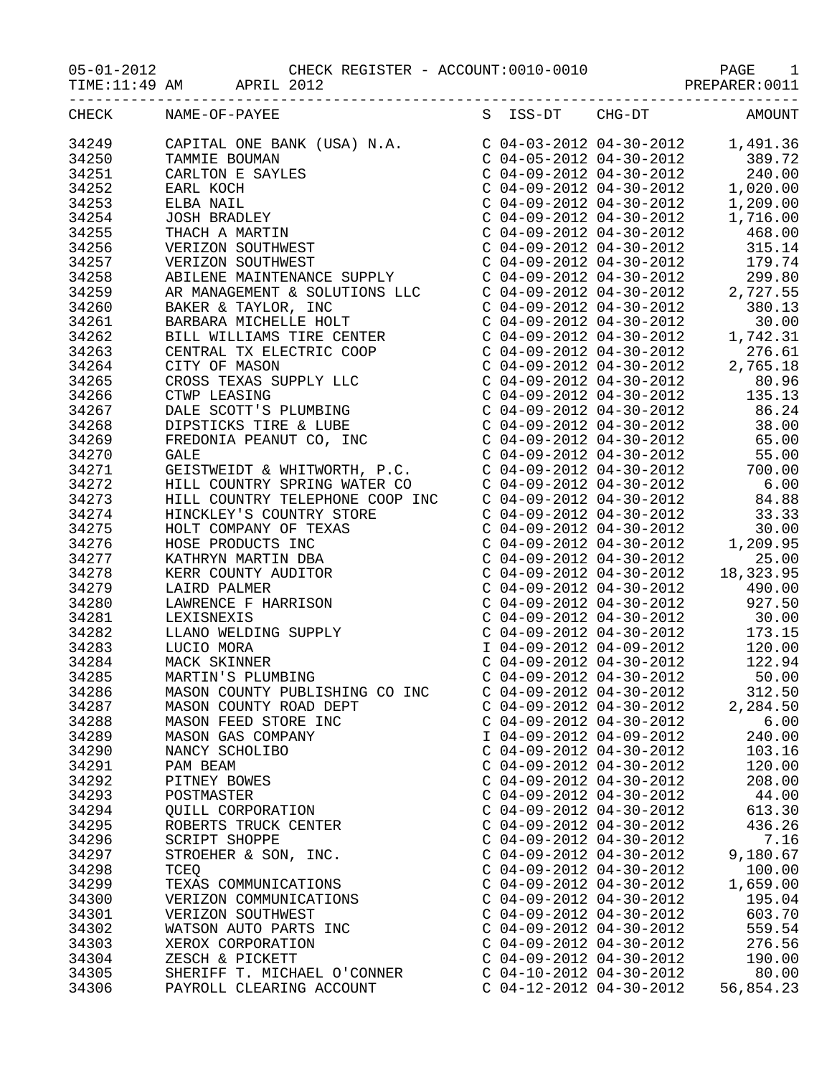05-01-2012 CHECK REGISTER - ACCOUNT:0010-0010 PAGE 1

|                     |                      | TIME:11:49 AM APRIL 2012       |                                                      | PREPARER: 0011         |
|---------------------|----------------------|--------------------------------|------------------------------------------------------|------------------------|
| CHECK NAME-OF-PAYEE |                      |                                |                                                      | S ISS-DT CHG-DT AMOUNT |
|                     |                      |                                |                                                      |                        |
|                     |                      |                                |                                                      |                        |
|                     |                      |                                |                                                      |                        |
|                     |                      |                                |                                                      |                        |
|                     |                      |                                |                                                      |                        |
|                     |                      |                                |                                                      |                        |
|                     |                      |                                |                                                      |                        |
|                     |                      |                                |                                                      |                        |
|                     |                      |                                |                                                      |                        |
|                     |                      |                                |                                                      |                        |
|                     |                      |                                |                                                      |                        |
|                     |                      |                                |                                                      |                        |
|                     |                      |                                |                                                      |                        |
|                     |                      |                                |                                                      |                        |
|                     |                      |                                |                                                      |                        |
|                     |                      |                                |                                                      |                        |
|                     |                      |                                |                                                      |                        |
|                     |                      |                                |                                                      |                        |
|                     |                      |                                |                                                      |                        |
|                     |                      |                                |                                                      |                        |
|                     |                      |                                |                                                      |                        |
|                     |                      |                                |                                                      |                        |
|                     |                      |                                |                                                      |                        |
|                     |                      |                                |                                                      |                        |
|                     |                      |                                |                                                      |                        |
|                     |                      |                                |                                                      |                        |
|                     |                      |                                |                                                      |                        |
|                     |                      |                                |                                                      |                        |
|                     |                      |                                |                                                      |                        |
|                     |                      |                                |                                                      |                        |
|                     |                      |                                |                                                      |                        |
|                     |                      |                                |                                                      |                        |
|                     |                      |                                |                                                      |                        |
|                     |                      |                                |                                                      |                        |
|                     |                      |                                |                                                      |                        |
|                     |                      |                                |                                                      |                        |
|                     |                      |                                |                                                      |                        |
| 34286               |                      | MASON COUNTY PUBLISHING CO INC | $C$ 04-09-2012 04-30-2012                            | 312.50                 |
| 34287               |                      | MASON COUNTY ROAD DEPT         | $C$ 04-09-2012 04-30-2012                            | 2,284.50               |
| 34288               |                      | MASON FEED STORE INC           | $C$ 04-09-2012 04-30-2012                            | 6.00                   |
| 34289               |                      | MASON GAS COMPANY              | I 04-09-2012 04-09-2012<br>$C$ 04-09-2012 04-30-2012 | 240.00                 |
| 34290               | NANCY SCHOLIBO       |                                | $C$ 04-09-2012 04-30-2012                            | 103.16                 |
| 34291               | PAM BEAM             |                                | $C$ 04-09-2012 04-30-2012                            | 120.00                 |
| 34292               | PITNEY BOWES         |                                | $C$ 04-09-2012 04-30-2012                            | 208.00                 |
| 34293<br>34294      | POSTMASTER           | OUILL CORPORATION              | $C$ 04-09-2012 04-30-2012                            | 44.00<br>613.30        |
| 34295               |                      | ROBERTS TRUCK CENTER           | $C$ 04-09-2012 04-30-2012                            | 436.26                 |
| 34296               | <b>SCRIPT SHOPPE</b> |                                | $C$ 04-09-2012 04-30-2012                            | 7.16                   |
| 34297               |                      | STROEHER & SON, INC.           | $C$ 04-09-2012 04-30-2012                            | 9,180.67               |
| 34298               | TCEQ                 |                                | $C$ 04-09-2012 04-30-2012                            | 100.00                 |
| 34299               |                      | TEXAS COMMUNICATIONS           | $C$ 04-09-2012 04-30-2012                            | 1,659.00               |
| 34300               |                      | VERIZON COMMUNICATIONS         | $C$ 04-09-2012 04-30-2012                            | 195.04                 |
| 34301               |                      | VERIZON SOUTHWEST              | $C$ 04-09-2012 04-30-2012                            | 603.70                 |
| 34302               |                      | WATSON AUTO PARTS INC          | $C$ 04-09-2012 04-30-2012                            | 559.54                 |
| 34303               |                      | XEROX CORPORATION              | $C$ 04-09-2012 04-30-2012                            | 276.56                 |
| 34304               | ZESCH & PICKETT      |                                | $C$ 04-09-2012 04-30-2012                            | 190.00                 |
| 34305               |                      | SHERIFF T. MICHAEL O'CONNER    | $C$ 04-10-2012 04-30-2012                            | 80.00                  |
| 34306               |                      | PAYROLL CLEARING ACCOUNT       | $C$ 04-12-2012 04-30-2012                            | 56,854.23              |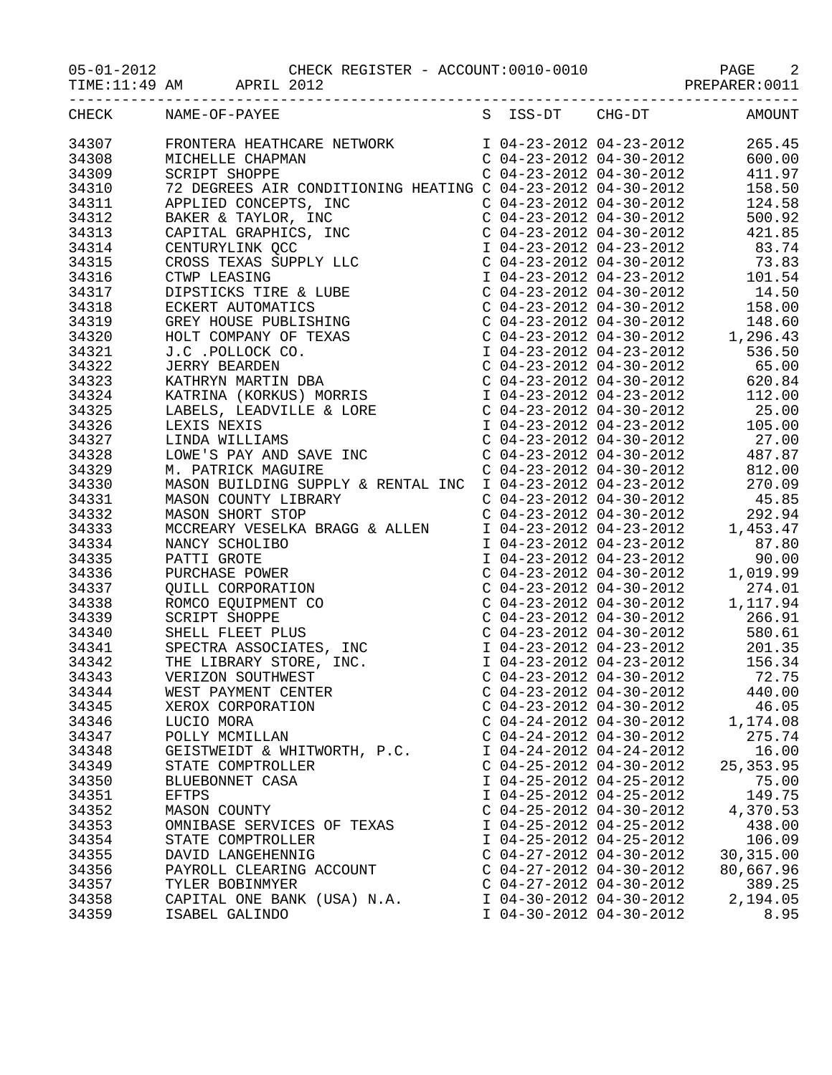| $05 - 01 - 2012$ |  |  |
|------------------|--|--|
|                  |  |  |

TIME:11:49 AM APRIL 2012 PREPARER:0011

|       | CHECK NAME-OF-PAYEE S ISS-DT CHG-DT AMOUNT |                           |                           |            |
|-------|--------------------------------------------|---------------------------|---------------------------|------------|
|       |                                            |                           |                           |            |
|       |                                            |                           |                           |            |
|       |                                            |                           |                           |            |
|       |                                            |                           |                           |            |
|       |                                            |                           |                           |            |
|       |                                            |                           |                           |            |
|       |                                            |                           |                           |            |
|       |                                            |                           |                           |            |
|       |                                            |                           |                           |            |
|       |                                            |                           |                           |            |
|       |                                            |                           |                           |            |
|       |                                            |                           |                           |            |
|       |                                            |                           |                           |            |
|       |                                            |                           |                           |            |
|       |                                            |                           |                           |            |
|       |                                            |                           |                           |            |
|       |                                            |                           |                           |            |
|       |                                            |                           |                           |            |
|       |                                            |                           |                           |            |
|       |                                            |                           |                           |            |
|       |                                            |                           |                           |            |
|       |                                            |                           |                           |            |
|       |                                            |                           |                           |            |
|       |                                            |                           |                           |            |
|       |                                            |                           |                           |            |
|       |                                            |                           |                           |            |
|       |                                            |                           |                           |            |
|       |                                            |                           |                           |            |
|       |                                            |                           |                           |            |
|       |                                            |                           |                           |            |
|       |                                            |                           |                           |            |
|       |                                            |                           |                           |            |
|       |                                            |                           |                           |            |
|       |                                            |                           |                           |            |
|       |                                            |                           |                           |            |
|       |                                            |                           |                           |            |
|       |                                            |                           |                           |            |
|       |                                            |                           |                           |            |
| 34345 | XEROX CORPORATION                          |                           | $C$ 04-23-2012 04-30-2012 | 46.05      |
| 34346 | LUCIO MORA                                 |                           | $C$ 04-24-2012 04-30-2012 | 1,174.08   |
| 34347 | POLLY MCMILLAN                             |                           | $C$ 04-24-2012 04-30-2012 | 275.74     |
| 34348 | GEISTWEIDT & WHITWORTH, P.C.               | I 04-24-2012 04-24-2012   |                           | 16.00      |
| 34349 | STATE COMPTROLLER                          | $C$ 04-25-2012 04-30-2012 |                           | 25, 353.95 |
| 34350 | BLUEBONNET CASA                            | I 04-25-2012 04-25-2012   |                           | 75.00      |
| 34351 | EFTPS                                      | I 04-25-2012 04-25-2012   |                           | 149.75     |
| 34352 | MASON COUNTY                               | $C$ 04-25-2012 04-30-2012 |                           | 4,370.53   |
| 34353 | OMNIBASE SERVICES OF TEXAS                 | I 04-25-2012 04-25-2012   |                           | 438.00     |
| 34354 | STATE COMPTROLLER                          | I 04-25-2012 04-25-2012   |                           | 106.09     |
| 34355 | DAVID LANGEHENNIG                          | $C$ 04-27-2012 04-30-2012 |                           | 30, 315.00 |
| 34356 | PAYROLL CLEARING ACCOUNT                   | $C$ 04-27-2012 04-30-2012 |                           | 80,667.96  |
| 34357 | TYLER BOBINMYER                            | $C$ 04-27-2012 04-30-2012 |                           | 389.25     |
| 34358 | CAPITAL ONE BANK (USA) N.A.                | I 04-30-2012 04-30-2012   |                           | 2,194.05   |
| 34359 | ISABEL GALINDO                             | I 04-30-2012 04-30-2012   |                           | 8.95       |
|       |                                            |                           |                           |            |